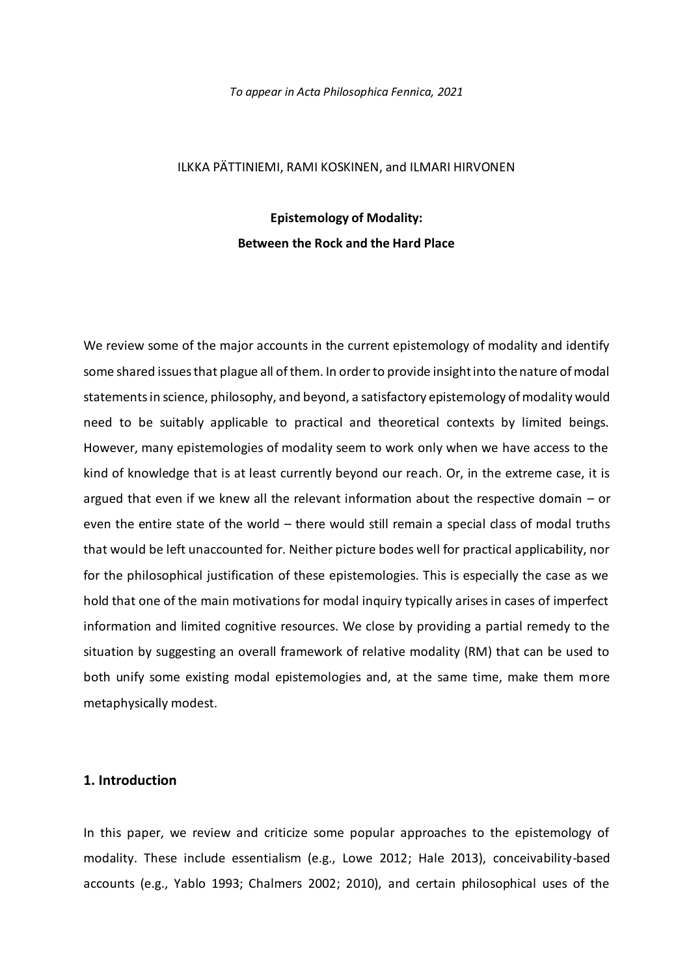#### *To appear in Acta Philosophica Fennica, 2021*

## ILKKA PÄTTINIEMI, RAMI KOSKINEN, and ILMARI HIRVONEN

# **Epistemology of Modality: Between the Rock and the Hard Place**

We review some of the major accounts in the current epistemology of modality and identify some shared issues that plague all of them. In order to provide insight into the nature of modal statements in science, philosophy, and beyond, a satisfactory epistemology of modality would need to be suitably applicable to practical and theoretical contexts by limited beings. However, many epistemologies of modality seem to work only when we have access to the kind of knowledge that is at least currently beyond our reach. Or, in the extreme case, it is argued that even if we knew all the relevant information about the respective domain – or even the entire state of the world – there would still remain a special class of modal truths that would be left unaccounted for. Neither picture bodes well for practical applicability, nor for the philosophical justification of these epistemologies. This is especially the case as we hold that one of the main motivations for modal inquiry typically arises in cases of imperfect information and limited cognitive resources. We close by providing a partial remedy to the situation by suggesting an overall framework of relative modality (RM) that can be used to both unify some existing modal epistemologies and, at the same time, make them more metaphysically modest.

# **1. Introduction**

In this paper, we review and criticize some popular approaches to the epistemology of modality. These include essentialism (e.g., Lowe 2012; Hale 2013), conceivability-based accounts (e.g., Yablo 1993; Chalmers 2002; 2010), and certain philosophical uses of the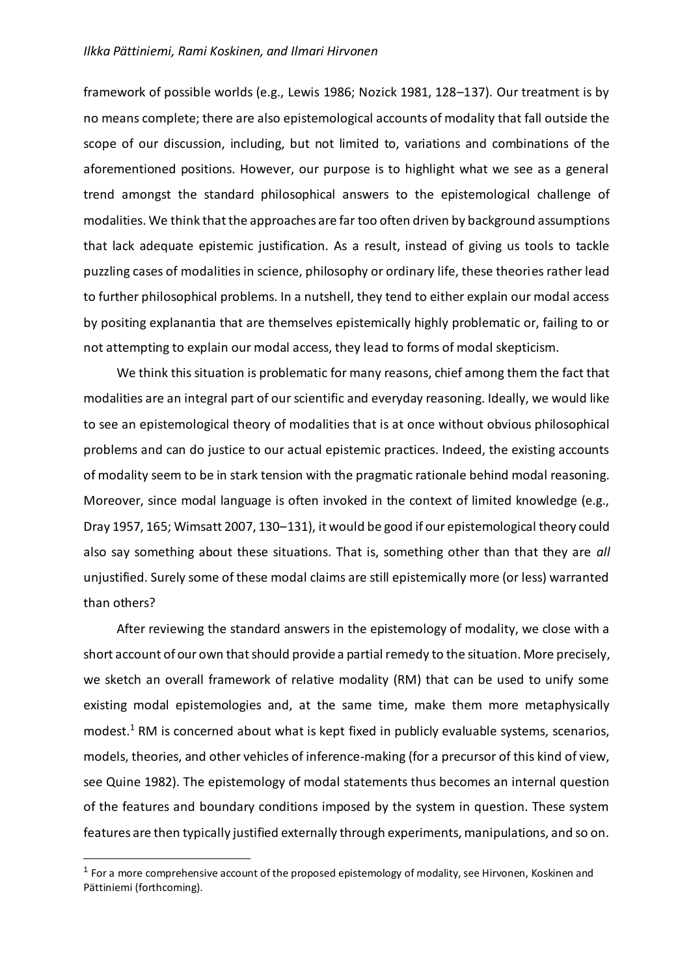framework of possible worlds (e.g., Lewis 1986; Nozick 1981, 128–137). Our treatment is by no means complete; there are also epistemological accounts of modality that fall outside the scope of our discussion, including, but not limited to, variations and combinations of the aforementioned positions. However, our purpose is to highlight what we see as a general trend amongst the standard philosophical answers to the epistemological challenge of modalities. We think that the approaches are far too often driven by background assumptions that lack adequate epistemic justification. As a result, instead of giving us tools to tackle puzzling cases of modalities in science, philosophy or ordinary life, these theories rather lead to further philosophical problems. In a nutshell, they tend to either explain our modal access by positing explanantia that are themselves epistemically highly problematic or, failing to or not attempting to explain our modal access, they lead to forms of modal skepticism.

We think this situation is problematic for many reasons, chief among them the fact that modalities are an integral part of our scientific and everyday reasoning. Ideally, we would like to see an epistemological theory of modalities that is at once without obvious philosophical problems and can do justice to our actual epistemic practices. Indeed, the existing accounts of modality seem to be in stark tension with the pragmatic rationale behind modal reasoning. Moreover, since modal language is often invoked in the context of limited knowledge (e.g., Dray 1957, 165; Wimsatt 2007, 130–131), it would be good if our epistemological theory could also say something about these situations. That is, something other than that they are *all* unjustified. Surely some of these modal claims are still epistemically more (or less) warranted than others?

After reviewing the standard answers in the epistemology of modality, we close with a short account of our own that should provide a partial remedy to the situation. More precisely, we sketch an overall framework of relative modality (RM) that can be used to unify some existing modal epistemologies and, at the same time, make them more metaphysically modest.<sup>1</sup> RM is concerned about what is kept fixed in publicly evaluable systems, scenarios, models, theories, and other vehicles of inference-making (for a precursor of this kind of view, see Quine 1982). The epistemology of modal statements thus becomes an internal question of the features and boundary conditions imposed by the system in question. These system features are then typically justified externally through experiments, manipulations, and so on.

 $1$  For a more comprehensive account of the proposed epistemology of modality, see Hirvonen, Koskinen and Pättiniemi (forthcoming).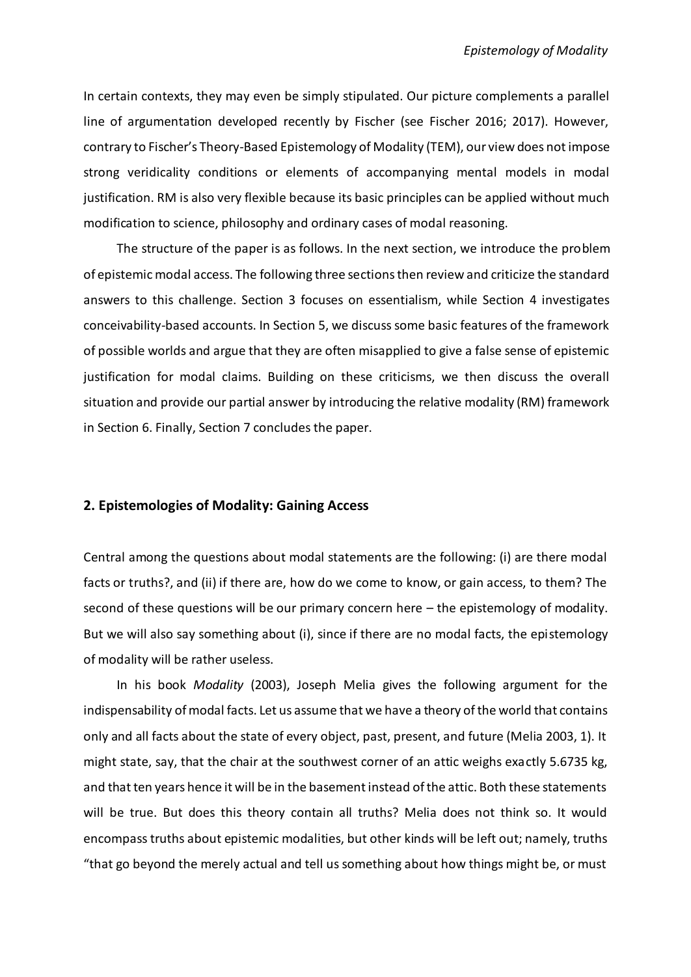In certain contexts, they may even be simply stipulated. Our picture complements a parallel line of argumentation developed recently by Fischer (see Fischer 2016; 2017). However, contrary to Fischer's Theory-Based Epistemology of Modality (TEM), our view does not impose strong veridicality conditions or elements of accompanying mental models in modal justification. RM is also very flexible because its basic principles can be applied without much modification to science, philosophy and ordinary cases of modal reasoning.

The structure of the paper is as follows. In the next section, we introduce the problem of epistemic modal access. The following three sections then review and criticize the standard answers to this challenge. Section 3 focuses on essentialism, while Section 4 investigates conceivability-based accounts. In Section 5, we discuss some basic features of the framework of possible worlds and argue that they are often misapplied to give a false sense of epistemic justification for modal claims. Building on these criticisms, we then discuss the overall situation and provide our partial answer by introducing the relative modality (RM) framework in Section 6. Finally, Section 7 concludes the paper.

## **2. Epistemologies of Modality: Gaining Access**

Central among the questions about modal statements are the following: (i) are there modal facts or truths?, and (ii) if there are, how do we come to know, or gain access, to them? The second of these questions will be our primary concern here – the epistemology of modality. But we will also say something about (i), since if there are no modal facts, the epistemology of modality will be rather useless.

In his book *Modality* (2003), Joseph Melia gives the following argument for the indispensability of modal facts. Let us assume that we have a theory of the world that contains only and all facts about the state of every object, past, present, and future (Melia 2003, 1). It might state, say, that the chair at the southwest corner of an attic weighs exactly 5.6735 kg, and that ten years hence it will be in the basement instead of the attic. Both these statements will be true. But does this theory contain all truths? Melia does not think so. It would encompass truths about epistemic modalities, but other kinds will be left out; namely, truths "that go beyond the merely actual and tell us something about how things might be, or must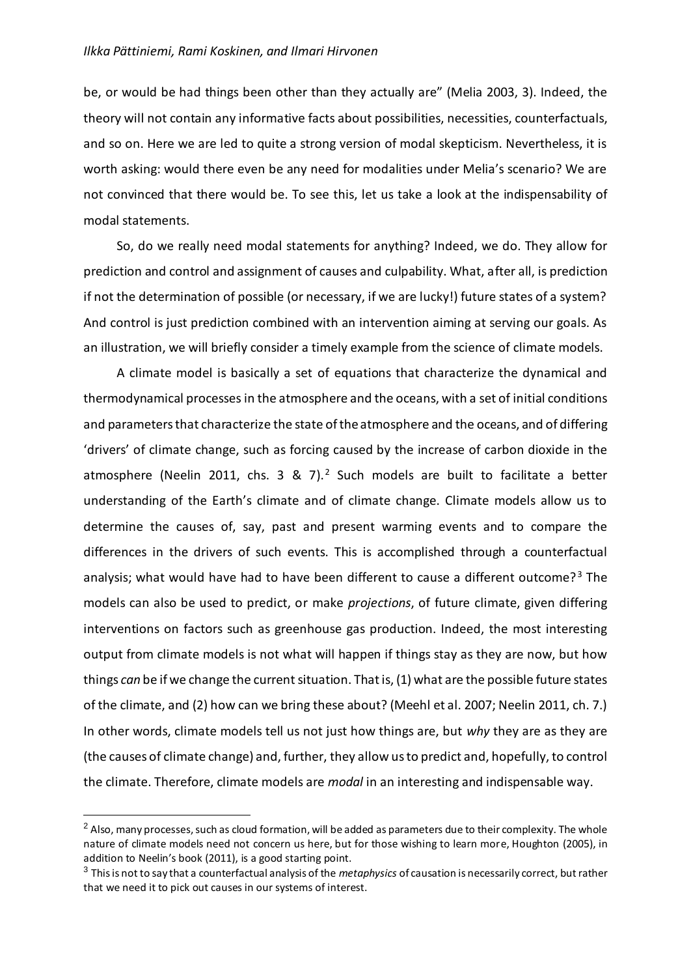be, or would be had things been other than they actually are" (Melia 2003, 3). Indeed, the theory will not contain any informative facts about possibilities, necessities, counterfactuals, and so on. Here we are led to quite a strong version of modal skepticism. Nevertheless, it is worth asking: would there even be any need for modalities under Melia's scenario? We are not convinced that there would be. To see this, let us take a look at the indispensability of modal statements.

So, do we really need modal statements for anything? Indeed, we do. They allow for prediction and control and assignment of causes and culpability. What, after all, is prediction if not the determination of possible (or necessary, if we are lucky!) future states of a system? And control is just prediction combined with an intervention aiming at serving our goals. As an illustration, we will briefly consider a timely example from the science of climate models.

A climate model is basically a set of equations that characterize the dynamical and thermodynamical processes in the atmosphere and the oceans, with a set of initial conditions and parameters that characterize the state of the atmosphere and the oceans, and of differing 'drivers' of climate change, such as forcing caused by the increase of carbon dioxide in the atmosphere (Neelin 2011, chs. 3 & 7).<sup>2</sup> Such models are built to facilitate a better understanding of the Earth's climate and of climate change. Climate models allow us to determine the causes of, say, past and present warming events and to compare the differences in the drivers of such events. This is accomplished through a counterfactual analysis; what would have had to have been different to cause a different outcome?<sup>3</sup> The models can also be used to predict, or make *projections*, of future climate, given differing interventions on factors such as greenhouse gas production. Indeed, the most interesting output from climate models is not what will happen if things stay as they are now, but how things *can* be if we change the current situation. That is, (1) what are the possible future states of the climate, and (2) how can we bring these about? (Meehl et al. 2007; Neelin 2011, ch. 7.) In other words, climate models tell us not just how things are, but *why* they are as they are (the causes of climate change) and, further, they allow us to predict and, hopefully, to control the climate. Therefore, climate models are *modal* in an interesting and indispensable way.

<sup>&</sup>lt;sup>2</sup> Also, many processes, such as cloud formation, will be added as parameters due to their complexity. The whole nature of climate models need not concern us here, but for those wishing to learn more, Houghton (2005), in addition to Neelin's book (2011), is a good starting point.

<sup>3</sup> This is not to say that a counterfactual analysis of the *metaphysics* of causation is necessarily correct, but rather that we need it to pick out causes in our systems of interest.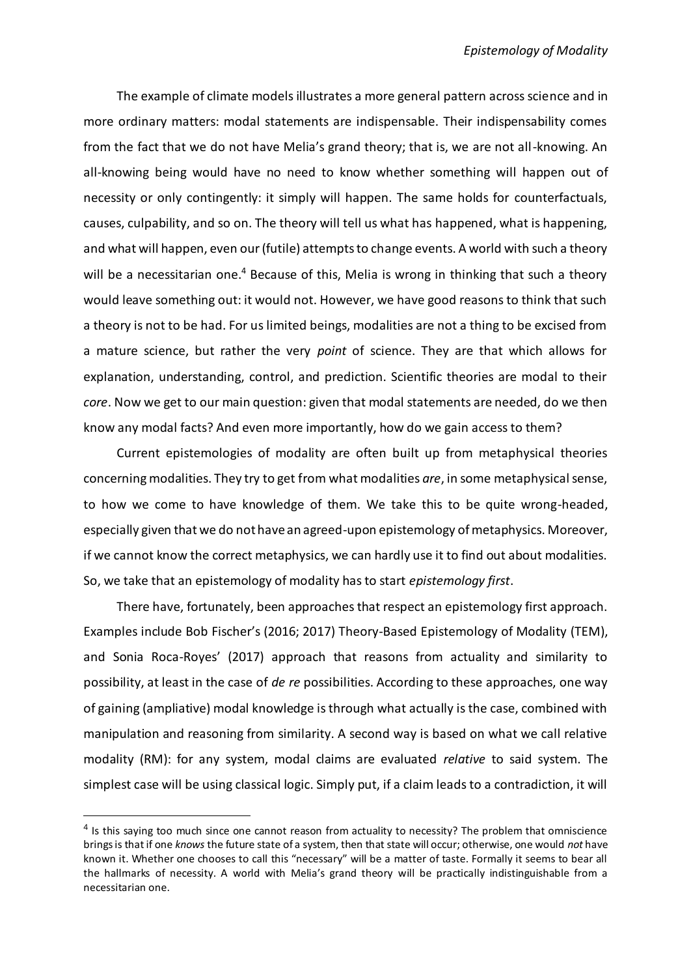The example of climate models illustrates a more general pattern across science and in more ordinary matters: modal statements are indispensable. Their indispensability comes from the fact that we do not have Melia's grand theory; that is, we are not all-knowing. An all-knowing being would have no need to know whether something will happen out of necessity or only contingently: it simply will happen. The same holds for counterfactuals, causes, culpability, and so on. The theory will tell us what has happened, what is happening, and what will happen, even our (futile) attempts to change events. A world with such a theory will be a necessitarian one.<sup>4</sup> Because of this, Melia is wrong in thinking that such a theory would leave something out: it would not. However, we have good reasons to think that such a theory is not to be had. For us limited beings, modalities are not a thing to be excised from a mature science, but rather the very *point* of science. They are that which allows for explanation, understanding, control, and prediction. Scientific theories are modal to their *core*. Now we get to our main question: given that modal statements are needed, do we then know any modal facts? And even more importantly, how do we gain access to them?

Current epistemologies of modality are often built up from metaphysical theories concerning modalities. They try to get from what modalities *are*, in some metaphysical sense, to how we come to have knowledge of them. We take this to be quite wrong-headed, especially given that we do not have an agreed-upon epistemology of metaphysics. Moreover, if we cannot know the correct metaphysics, we can hardly use it to find out about modalities. So, we take that an epistemology of modality has to start *epistemology first*.

There have, fortunately, been approaches that respect an epistemology first approach. Examples include Bob Fischer's (2016; 2017) Theory-Based Epistemology of Modality (TEM), and Sonia Roca-Royes' (2017) approach that reasons from actuality and similarity to possibility, at least in the case of *de re* possibilities. According to these approaches, one way of gaining (ampliative) modal knowledge is through what actually is the case, combined with manipulation and reasoning from similarity. A second way is based on what we call relative modality (RM): for any system, modal claims are evaluated *relative* to said system. The simplest case will be using classical logic. Simply put, if a claim leads to a contradiction, it will

<sup>&</sup>lt;sup>4</sup> Is this saying too much since one cannot reason from actuality to necessity? The problem that omniscience brings is that if one *knows* the future state of a system, then that state will occur; otherwise, one would *not* have known it. Whether one chooses to call this "necessary" will be a matter of taste. Formally it seems to bear all the hallmarks of necessity. A world with Melia's grand theory will be practically indistinguishable from a necessitarian one.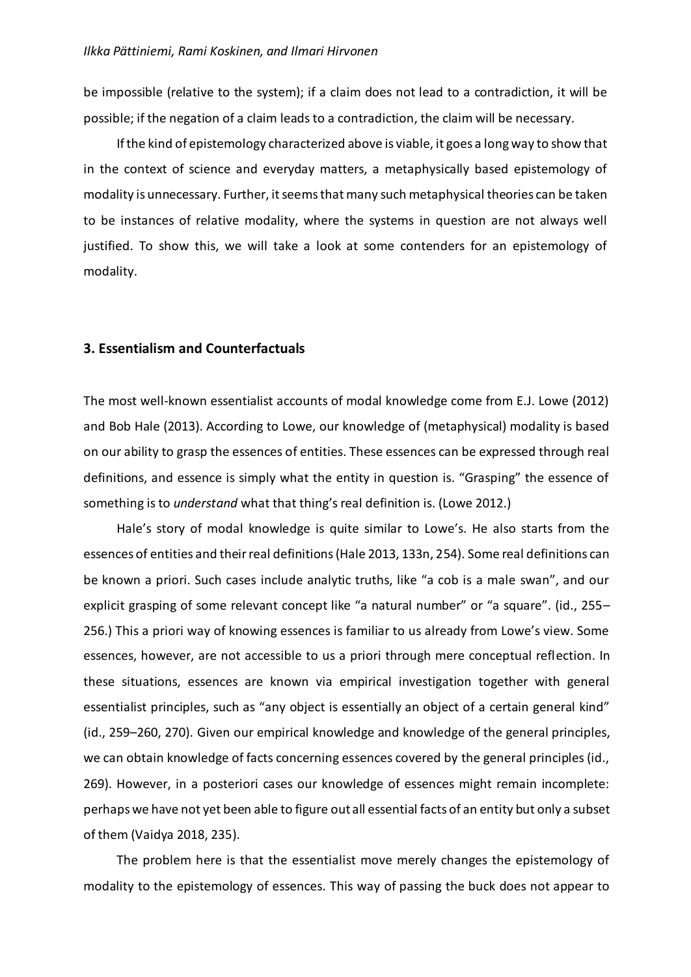be impossible (relative to the system); if a claim does not lead to a contradiction, it will be possible; if the negation of a claim leads to a contradiction, the claim will be necessary.

If the kind of epistemology characterized above is viable, it goes a long way to show that in the context of science and everyday matters, a metaphysically based epistemology of modality is unnecessary. Further, it seems that many such metaphysical theories can be taken to be instances of relative modality, where the systems in question are not always well justified. To show this, we will take a look at some contenders for an epistemology of modality.

# **3. Essentialism and Counterfactuals**

The most well-known essentialist accounts of modal knowledge come from E.J. Lowe (2012) and Bob Hale (2013). According to Lowe, our knowledge of (metaphysical) modality is based on our ability to grasp the essences of entities. These essences can be expressed through real definitions, and essence is simply what the entity in question is. "Grasping" the essence of something is to *understand* what that thing's real definition is. (Lowe 2012.)

Hale's story of modal knowledge is quite similar to Lowe's. He also starts from the essences of entities and their real definitions (Hale 2013, 133n, 254). Some real definitions can be known a priori. Such cases include analytic truths, like "a cob is a male swan", and our explicit grasping of some relevant concept like "a natural number" or "a square". (id., 255– 256.) This a priori way of knowing essences is familiar to us already from Lowe's view. Some essences, however, are not accessible to us a priori through mere conceptual reflection. In these situations, essences are known via empirical investigation together with general essentialist principles, such as "any object is essentially an object of a certain general kind" (id., 259–260, 270). Given our empirical knowledge and knowledge of the general principles, we can obtain knowledge of facts concerning essences covered by the general principles (id., 269). However, in a posteriori cases our knowledge of essences might remain incomplete: perhaps we have not yet been able to figure out all essential facts of an entity but only a subset of them (Vaidya 2018, 235).

The problem here is that the essentialist move merely changes the epistemology of modality to the epistemology of essences. This way of passing the buck does not appear to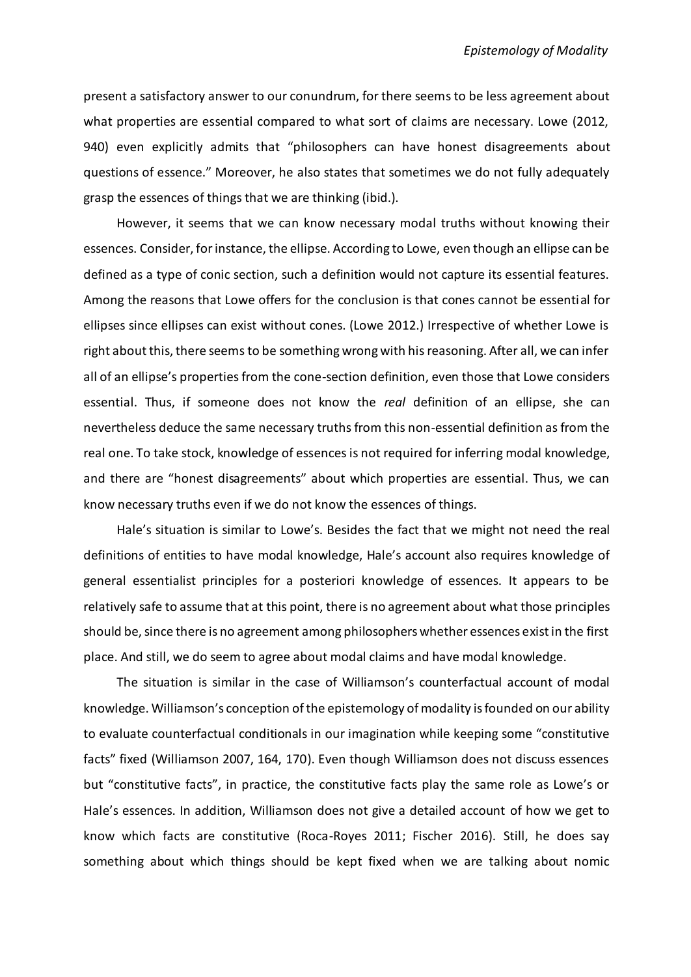present a satisfactory answer to our conundrum, for there seems to be less agreement about what properties are essential compared to what sort of claims are necessary. Lowe (2012, 940) even explicitly admits that "philosophers can have honest disagreements about questions of essence." Moreover, he also states that sometimes we do not fully adequately grasp the essences of things that we are thinking (ibid.).

However, it seems that we can know necessary modal truths without knowing their essences. Consider, for instance, the ellipse. According to Lowe, even though an ellipse can be defined as a type of conic section, such a definition would not capture its essential features. Among the reasons that Lowe offers for the conclusion is that cones cannot be essential for ellipses since ellipses can exist without cones. (Lowe 2012.) Irrespective of whether Lowe is right about this, there seems to be something wrong with his reasoning. After all, we can infer all of an ellipse's properties from the cone-section definition, even those that Lowe considers essential. Thus, if someone does not know the *real* definition of an ellipse, she can nevertheless deduce the same necessary truths from this non-essential definition as from the real one. To take stock, knowledge of essences is not required for inferring modal knowledge, and there are "honest disagreements" about which properties are essential. Thus, we can know necessary truths even if we do not know the essences of things.

Hale's situation is similar to Lowe's. Besides the fact that we might not need the real definitions of entities to have modal knowledge, Hale's account also requires knowledge of general essentialist principles for a posteriori knowledge of essences. It appears to be relatively safe to assume that at this point, there is no agreement about what those principles should be, since there is no agreement among philosophers whether essences exist in the first place. And still, we do seem to agree about modal claims and have modal knowledge.

The situation is similar in the case of Williamson's counterfactual account of modal knowledge. Williamson's conception of the epistemology of modality is founded on our ability to evaluate counterfactual conditionals in our imagination while keeping some "constitutive facts" fixed (Williamson 2007, 164, 170). Even though Williamson does not discuss essences but "constitutive facts", in practice, the constitutive facts play the same role as Lowe's or Hale's essences. In addition, Williamson does not give a detailed account of how we get to know which facts are constitutive (Roca-Royes 2011; Fischer 2016). Still, he does say something about which things should be kept fixed when we are talking about nomic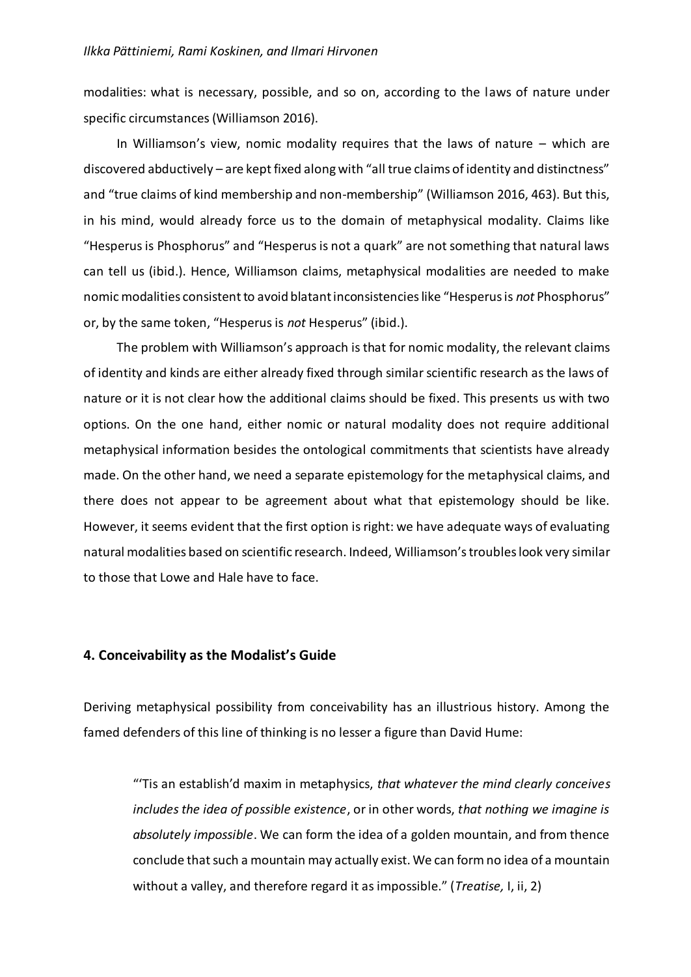modalities: what is necessary, possible, and so on, according to the laws of nature under specific circumstances (Williamson 2016).

In Williamson's view, nomic modality requires that the laws of nature – which are discovered abductively – are kept fixed along with "all true claims of identity and distinctness" and "true claims of kind membership and non-membership" (Williamson 2016, 463). But this, in his mind, would already force us to the domain of metaphysical modality. Claims like "Hesperus is Phosphorus" and "Hesperus is not a quark" are not something that natural laws can tell us (ibid.). Hence, Williamson claims, metaphysical modalities are needed to make nomic modalities consistent to avoid blatant inconsistencies like "Hesperus is *not* Phosphorus" or, by the same token, "Hesperus is *not* Hesperus" (ibid.).

The problem with Williamson's approach is that for nomic modality, the relevant claims of identity and kinds are either already fixed through similar scientific research as the laws of nature or it is not clear how the additional claims should be fixed. This presents us with two options. On the one hand, either nomic or natural modality does not require additional metaphysical information besides the ontological commitments that scientists have already made. On the other hand, we need a separate epistemology for the metaphysical claims, and there does not appear to be agreement about what that epistemology should be like. However, it seems evident that the first option is right: we have adequate ways of evaluating natural modalities based on scientific research. Indeed, Williamson's troubles look very similar to those that Lowe and Hale have to face.

## **4. Conceivability as the Modalist's Guide**

Deriving metaphysical possibility from conceivability has an illustrious history. Among the famed defenders of this line of thinking is no lesser a figure than David Hume:

"'Tis an establish'd maxim in metaphysics, *that whatever the mind clearly conceives includes the idea of possible existence*, or in other words, *that nothing we imagine is absolutely impossible*. We can form the idea of a golden mountain, and from thence conclude that such a mountain may actually exist. We can form no idea of a mountain without a valley, and therefore regard it as impossible." (*Treatise,* I, ii, 2)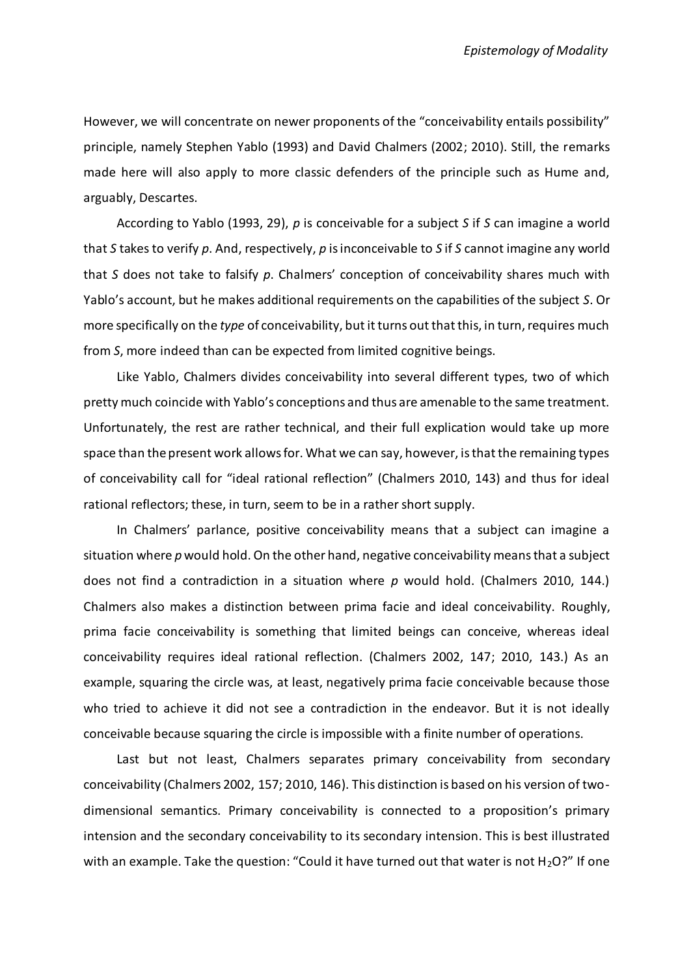However, we will concentrate on newer proponents of the "conceivability entails possibility" principle, namely Stephen Yablo (1993) and David Chalmers (2002; 2010). Still, the remarks made here will also apply to more classic defenders of the principle such as Hume and, arguably, Descartes.

According to Yablo (1993, 29), *p* is conceivable for a subject *S* if *S* can imagine a world that *S* takes to verify *p*. And, respectively, *p* is inconceivable to *S* if *S* cannot imagine any world that *S* does not take to falsify *p*. Chalmers' conception of conceivability shares much with Yablo's account, but he makes additional requirements on the capabilities of the subject *S*. Or more specifically on the *type* of conceivability, but it turns out that this, in turn, requires much from *S*, more indeed than can be expected from limited cognitive beings.

Like Yablo, Chalmers divides conceivability into several different types, two of which pretty much coincide with Yablo's conceptions and thus are amenable to the same treatment. Unfortunately, the rest are rather technical, and their full explication would take up more space than the present work allows for. What we can say, however, is that the remaining types of conceivability call for "ideal rational reflection" (Chalmers 2010, 143) and thus for ideal rational reflectors; these, in turn, seem to be in a rather short supply.

In Chalmers' parlance, positive conceivability means that a subject can imagine a situation where *p* would hold. On the other hand, negative conceivability means that a subject does not find a contradiction in a situation where *p* would hold. (Chalmers 2010, 144.) Chalmers also makes a distinction between prima facie and ideal conceivability. Roughly, prima facie conceivability is something that limited beings can conceive, whereas ideal conceivability requires ideal rational reflection. (Chalmers 2002, 147; 2010, 143.) As an example, squaring the circle was, at least, negatively prima facie conceivable because those who tried to achieve it did not see a contradiction in the endeavor. But it is not ideally conceivable because squaring the circle is impossible with a finite number of operations.

Last but not least, Chalmers separates primary conceivability from secondary conceivability (Chalmers 2002, 157; 2010, 146). This distinction is based on his version of twodimensional semantics. Primary conceivability is connected to a proposition's primary intension and the secondary conceivability to its secondary intension. This is best illustrated with an example. Take the question: "Could it have turned out that water is not  $H_2O$ ?" If one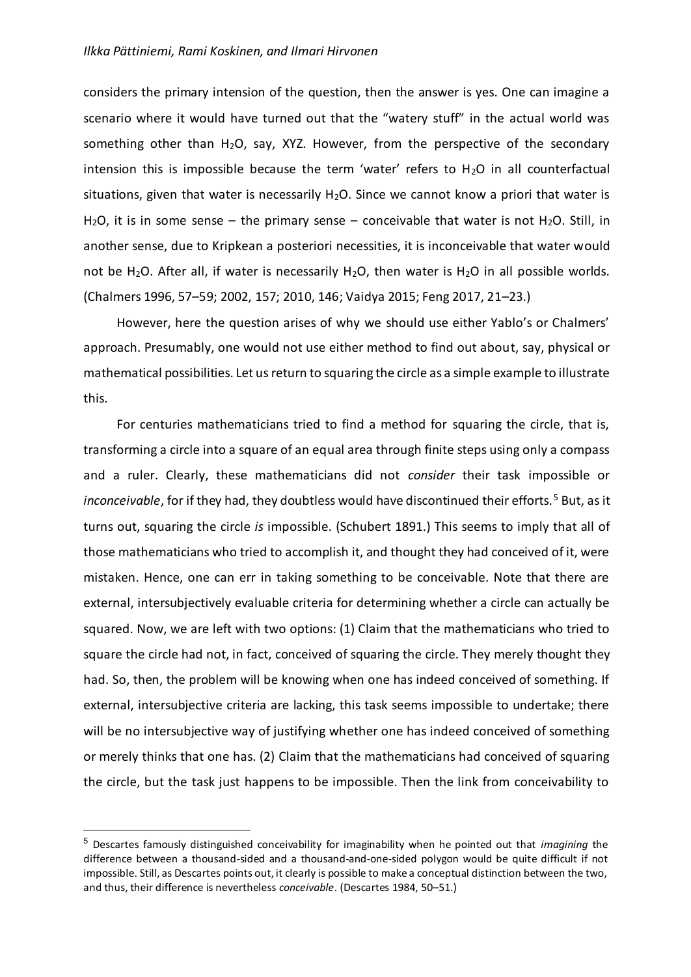considers the primary intension of the question, then the answer is yes. One can imagine a scenario where it would have turned out that the "watery stuff" in the actual world was something other than  $H_2O$ , say, XYZ. However, from the perspective of the secondary intension this is impossible because the term 'water' refers to  $H_2O$  in all counterfactual situations, given that water is necessarily  $H_2O$ . Since we cannot know a priori that water is H<sub>2</sub>O, it is in some sense – the primary sense – conceivable that water is not H<sub>2</sub>O. Still, in another sense, due to Kripkean a posteriori necessities, it is inconceivable that water would not be H<sub>2</sub>O. After all, if water is necessarily H<sub>2</sub>O, then water is H<sub>2</sub>O in all possible worlds. (Chalmers 1996, 57–59; 2002, 157; 2010, 146; Vaidya 2015; Feng 2017, 21–23.)

However, here the question arises of why we should use either Yablo's or Chalmers' approach. Presumably, one would not use either method to find out about, say, physical or mathematical possibilities. Let us return to squaring the circle as a simple example to illustrate this.

For centuries mathematicians tried to find a method for squaring the circle, that is, transforming a circle into a square of an equal area through finite steps using only a compass and a ruler. Clearly, these mathematicians did not *consider* their task impossible or *inconceivable*, for if they had, they doubtless would have discontinued their efforts.<sup>5</sup> But, as it turns out, squaring the circle *is* impossible. (Schubert 1891.) This seems to imply that all of those mathematicians who tried to accomplish it, and thought they had conceived of it, were mistaken. Hence, one can err in taking something to be conceivable. Note that there are external, intersubjectively evaluable criteria for determining whether a circle can actually be squared. Now, we are left with two options: (1) Claim that the mathematicians who tried to square the circle had not, in fact, conceived of squaring the circle. They merely thought they had. So, then, the problem will be knowing when one has indeed conceived of something. If external, intersubjective criteria are lacking, this task seems impossible to undertake; there will be no intersubjective way of justifying whether one has indeed conceived of something or merely thinks that one has. (2) Claim that the mathematicians had conceived of squaring the circle, but the task just happens to be impossible. Then the link from conceivability to

<sup>5</sup> Descartes famously distinguished conceivability for imaginability when he pointed out that *imagining* the difference between a thousand-sided and a thousand-and-one-sided polygon would be quite difficult if not impossible. Still, as Descartes points out, it clearly is possible to make a conceptual distinction between the two, and thus, their difference is nevertheless *conceivable*. (Descartes 1984, 50–51.)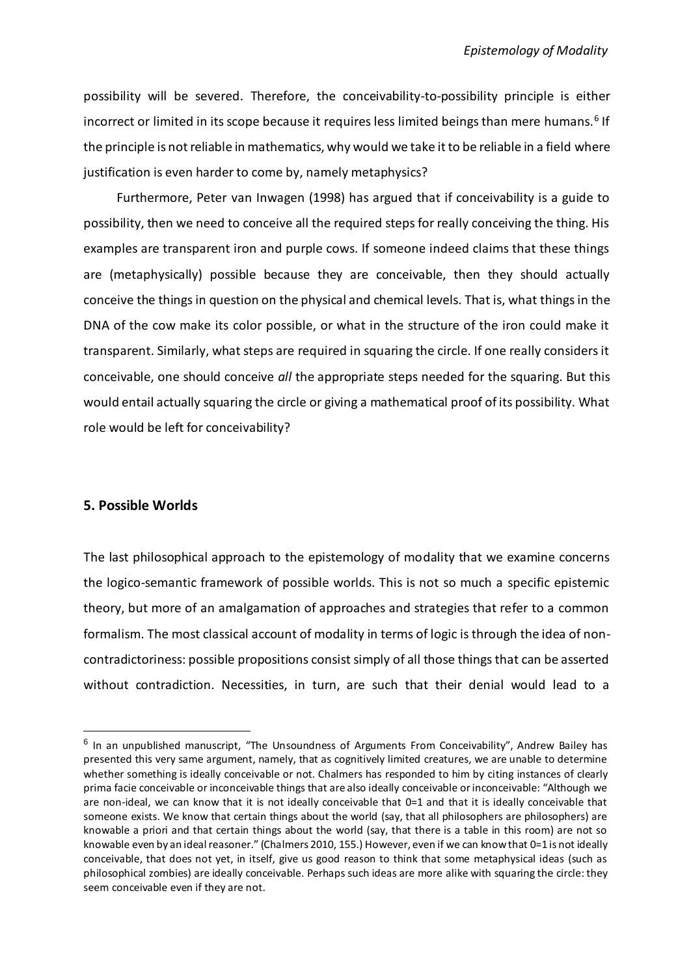possibility will be severed. Therefore, the conceivability-to-possibility principle is either incorrect or limited in its scope because it requires less limited beings than mere humans.<sup>6</sup> If the principle is not reliable in mathematics, why would we take it to be reliable in a field where justification is even harder to come by, namely metaphysics?

Furthermore, Peter van Inwagen (1998) has argued that if conceivability is a guide to possibility, then we need to conceive all the required steps for really conceiving the thing. His examples are transparent iron and purple cows. If someone indeed claims that these things are (metaphysically) possible because they are conceivable, then they should actually conceive the things in question on the physical and chemical levels. That is, what things in the DNA of the cow make its color possible, or what in the structure of the iron could make it transparent. Similarly, what steps are required in squaring the circle. If one really considers it conceivable, one should conceive *all* the appropriate steps needed for the squaring. But this would entail actually squaring the circle or giving a mathematical proof of its possibility. What role would be left for conceivability?

# **5. Possible Worlds**

The last philosophical approach to the epistemology of modality that we examine concerns the logico-semantic framework of possible worlds. This is not so much a specific epistemic theory, but more of an amalgamation of approaches and strategies that refer to a common formalism. The most classical account of modality in terms of logic is through the idea of noncontradictoriness: possible propositions consist simply of all those things that can be asserted without contradiction. Necessities, in turn, are such that their denial would lead to a

<sup>&</sup>lt;sup>6</sup> In an unpublished manuscript, "The Unsoundness of Arguments From Conceivability", Andrew Bailey has presented this very same argument, namely, that as cognitively limited creatures, we are unable to determine whether something is ideally conceivable or not. Chalmers has responded to him by citing instances of clearly prima facie conceivable or inconceivable things that are also ideally conceivable or inconceivable: "Although we are non-ideal, we can know that it is not ideally conceivable that 0=1 and that it is ideally conceivable that someone exists. We know that certain things about the world (say, that all philosophers are philosophers) are knowable a priori and that certain things about the world (say, that there is a table in this room) are not so knowable even by an ideal reasoner." (Chalmers 2010, 155.) However, even if we can know that 0=1 is not ideally conceivable, that does not yet, in itself, give us good reason to think that some metaphysical ideas (such as philosophical zombies) are ideally conceivable. Perhaps such ideas are more alike with squaring the circle: they seem conceivable even if they are not.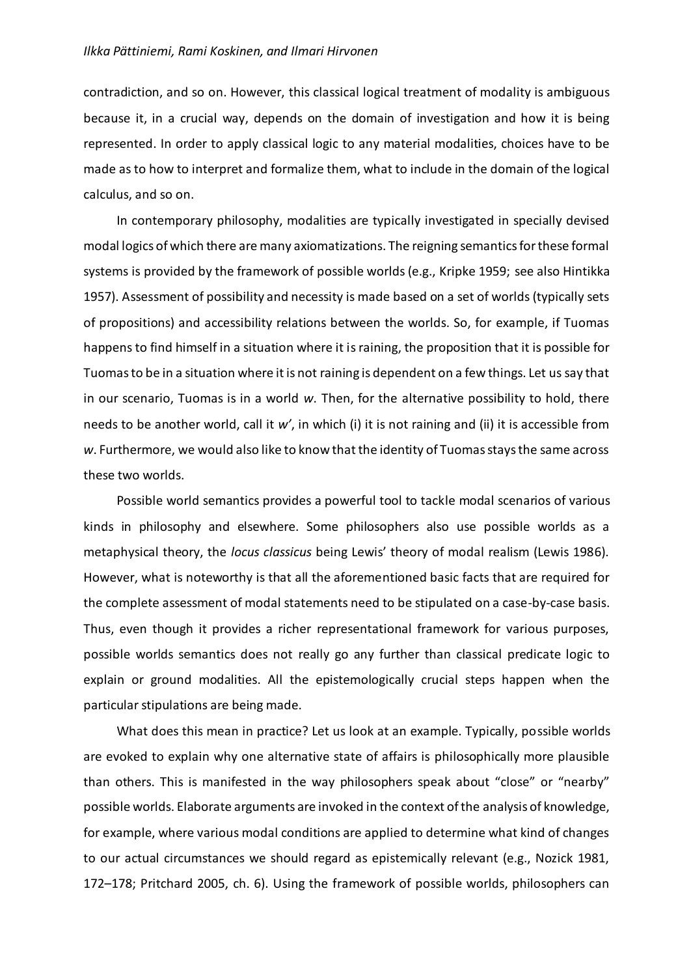contradiction, and so on. However, this classical logical treatment of modality is ambiguous because it, in a crucial way, depends on the domain of investigation and how it is being represented. In order to apply classical logic to any material modalities, choices have to be made as to how to interpret and formalize them, what to include in the domain of the logical calculus, and so on.

In contemporary philosophy, modalities are typically investigated in specially devised modal logics of which there are many axiomatizations. The reigning semantics for these formal systems is provided by the framework of possible worlds (e.g., Kripke 1959; see also Hintikka 1957). Assessment of possibility and necessity is made based on a set of worlds (typically sets of propositions) and accessibility relations between the worlds. So, for example, if Tuomas happens to find himself in a situation where it is raining, the proposition that it is possible for Tuomas to be in a situation where it is not raining is dependent on a few things. Let us say that in our scenario, Tuomas is in a world *w*. Then, for the alternative possibility to hold, there needs to be another world, call it *w'*, in which (i) it is not raining and (ii) it is accessible from *w*. Furthermore, we would also like to know that the identity of Tuomas stays the same across these two worlds.

Possible world semantics provides a powerful tool to tackle modal scenarios of various kinds in philosophy and elsewhere. Some philosophers also use possible worlds as a metaphysical theory, the *locus classicus* being Lewis' theory of modal realism (Lewis 1986). However, what is noteworthy is that all the aforementioned basic facts that are required for the complete assessment of modal statements need to be stipulated on a case-by-case basis. Thus, even though it provides a richer representational framework for various purposes, possible worlds semantics does not really go any further than classical predicate logic to explain or ground modalities. All the epistemologically crucial steps happen when the particular stipulations are being made.

What does this mean in practice? Let us look at an example. Typically, possible worlds are evoked to explain why one alternative state of affairs is philosophically more plausible than others. This is manifested in the way philosophers speak about "close" or "nearby" possible worlds. Elaborate arguments are invoked in the context of the analysis of knowledge, for example, where various modal conditions are applied to determine what kind of changes to our actual circumstances we should regard as epistemically relevant (e.g., Nozick 1981, 172–178; Pritchard 2005, ch. 6). Using the framework of possible worlds, philosophers can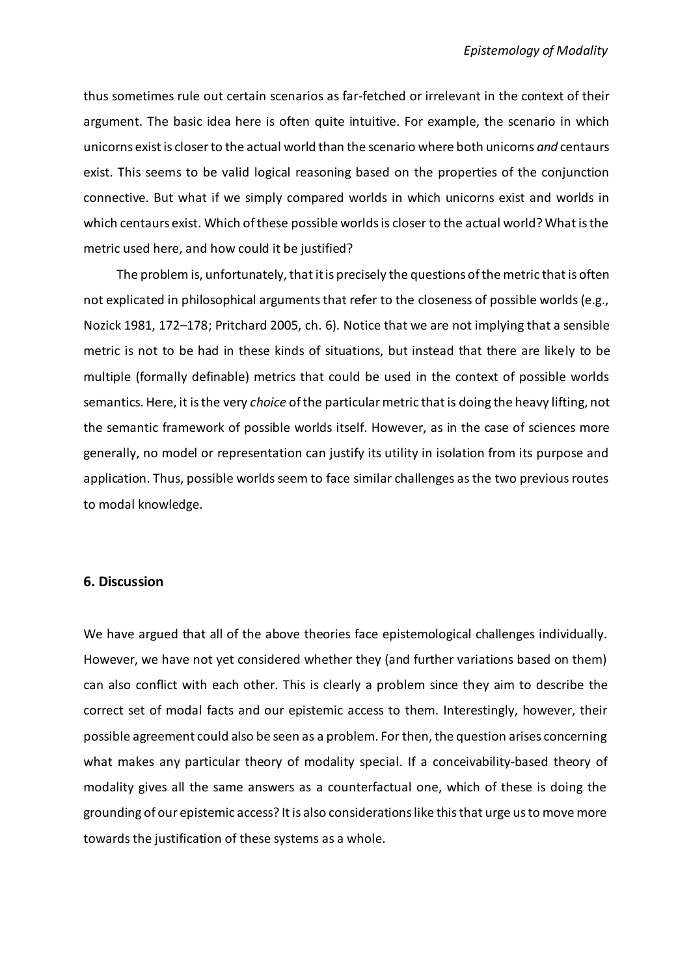thus sometimes rule out certain scenarios as far-fetched or irrelevant in the context of their argument. The basic idea here is often quite intuitive. For example, the scenario in which unicorns exist is closer to the actual world than the scenario where both unicorns *and* centaurs exist. This seems to be valid logical reasoning based on the properties of the conjunction connective. But what if we simply compared worlds in which unicorns exist and worlds in which centaurs exist. Which of these possible worlds is closer to the actual world? What is the metric used here, and how could it be justified?

The problem is, unfortunately, that it is precisely the questions of the metric that is often not explicated in philosophical arguments that refer to the closeness of possible worlds (e.g., Nozick 1981, 172–178; Pritchard 2005, ch. 6). Notice that we are not implying that a sensible metric is not to be had in these kinds of situations, but instead that there are likely to be multiple (formally definable) metrics that could be used in the context of possible worlds semantics. Here, it is the very *choice* of the particular metric that is doing the heavy lifting, not the semantic framework of possible worlds itself. However, as in the case of sciences more generally, no model or representation can justify its utility in isolation from its purpose and application. Thus, possible worlds seem to face similar challenges as the two previous routes to modal knowledge.

# **6. Discussion**

We have argued that all of the above theories face epistemological challenges individually. However, we have not yet considered whether they (and further variations based on them) can also conflict with each other. This is clearly a problem since they aim to describe the correct set of modal facts and our epistemic access to them. Interestingly, however, their possible agreement could also be seen as a problem. For then, the question arises concerning what makes any particular theory of modality special. If a conceivability-based theory of modality gives all the same answers as a counterfactual one, which of these is doing the grounding of our epistemic access? It is also considerations like this that urge us to move more towards the justification of these systems as a whole.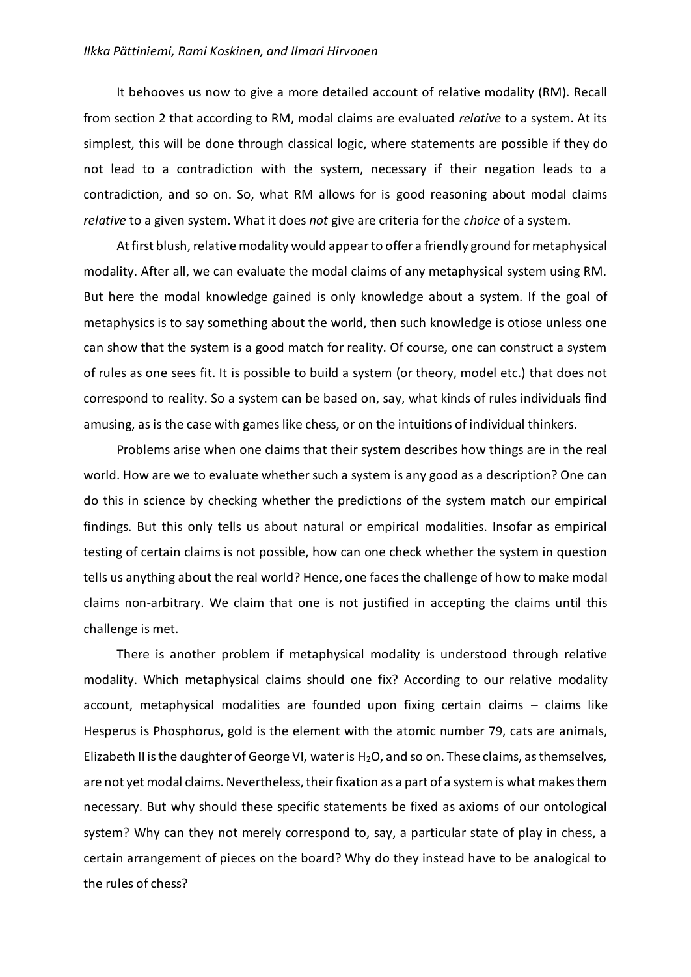It behooves us now to give a more detailed account of relative modality (RM). Recall from section 2 that according to RM, modal claims are evaluated *relative* to a system. At its simplest, this will be done through classical logic, where statements are possible if they do not lead to a contradiction with the system, necessary if their negation leads to a contradiction, and so on. So, what RM allows for is good reasoning about modal claims *relative* to a given system. What it does *not* give are criteria for the *choice* of a system.

At first blush, relative modality would appear to offer a friendly ground for metaphysical modality. After all, we can evaluate the modal claims of any metaphysical system using RM. But here the modal knowledge gained is only knowledge about a system. If the goal of metaphysics is to say something about the world, then such knowledge is otiose unless one can show that the system is a good match for reality. Of course, one can construct a system of rules as one sees fit. It is possible to build a system (or theory, model etc.) that does not correspond to reality. So a system can be based on, say, what kinds of rules individuals find amusing, as is the case with games like chess, or on the intuitions of individual thinkers.

Problems arise when one claims that their system describes how things are in the real world. How are we to evaluate whether such a system is any good as a description? One can do this in science by checking whether the predictions of the system match our empirical findings. But this only tells us about natural or empirical modalities. Insofar as empirical testing of certain claims is not possible, how can one check whether the system in question tells us anything about the real world? Hence, one faces the challenge of how to make modal claims non-arbitrary. We claim that one is not justified in accepting the claims until this challenge is met.

There is another problem if metaphysical modality is understood through relative modality. Which metaphysical claims should one fix? According to our relative modality account, metaphysical modalities are founded upon fixing certain claims – claims like Hesperus is Phosphorus, gold is the element with the atomic number 79, cats are animals, Elizabeth II is the daughter of George VI, water is  $H_2O$ , and so on. These claims, as themselves, are not yet modal claims. Nevertheless, their fixation as a part of a system is what makes them necessary. But why should these specific statements be fixed as axioms of our ontological system? Why can they not merely correspond to, say, a particular state of play in chess, a certain arrangement of pieces on the board? Why do they instead have to be analogical to the rules of chess?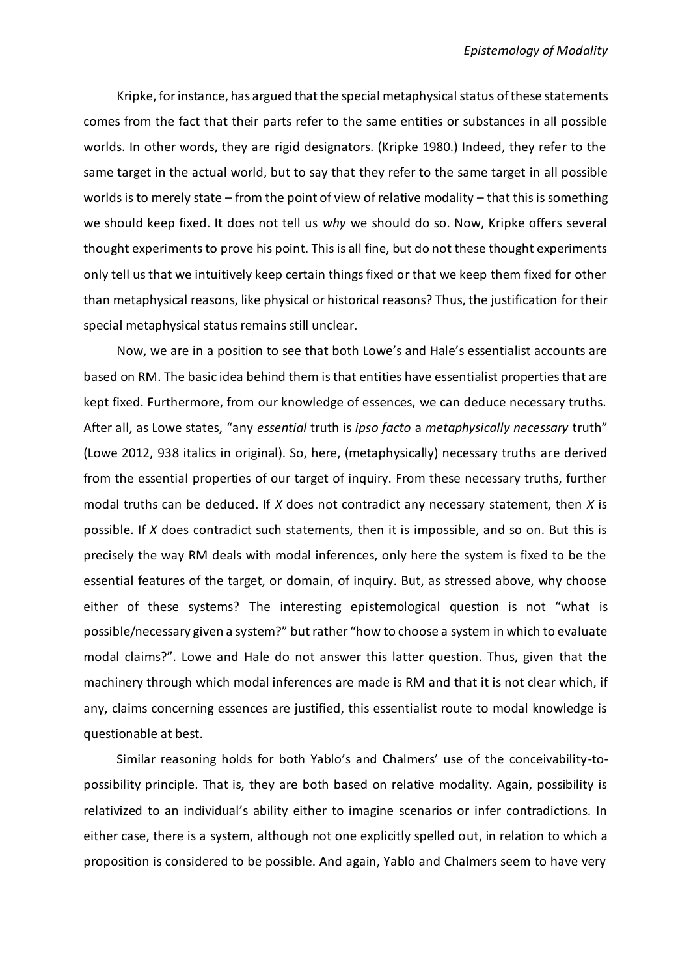Kripke, for instance, has argued that the special metaphysical status of these statements comes from the fact that their parts refer to the same entities or substances in all possible worlds. In other words, they are rigid designators. (Kripke 1980.) Indeed, they refer to the same target in the actual world, but to say that they refer to the same target in all possible worlds is to merely state – from the point of view of relative modality – that this is something we should keep fixed. It does not tell us *why* we should do so. Now, Kripke offers several thought experiments to prove his point. This is all fine, but do not these thought experiments only tell us that we intuitively keep certain things fixed or that we keep them fixed for other than metaphysical reasons, like physical or historical reasons? Thus, the justification for their special metaphysical status remains still unclear.

Now, we are in a position to see that both Lowe's and Hale's essentialist accounts are based on RM. The basic idea behind them is that entities have essentialist properties that are kept fixed. Furthermore, from our knowledge of essences, we can deduce necessary truths. After all, as Lowe states, "any *essential* truth is *ipso facto* a *metaphysically necessary* truth" (Lowe 2012, 938 italics in original). So, here, (metaphysically) necessary truths are derived from the essential properties of our target of inquiry. From these necessary truths, further modal truths can be deduced. If *X* does not contradict any necessary statement, then *X* is possible. If *X* does contradict such statements, then it is impossible, and so on. But this is precisely the way RM deals with modal inferences, only here the system is fixed to be the essential features of the target, or domain, of inquiry. But, as stressed above, why choose either of these systems? The interesting epistemological question is not "what is possible/necessary given a system?" but rather "how to choose a system in which to evaluate modal claims?". Lowe and Hale do not answer this latter question. Thus, given that the machinery through which modal inferences are made is RM and that it is not clear which, if any, claims concerning essences are justified, this essentialist route to modal knowledge is questionable at best.

Similar reasoning holds for both Yablo's and Chalmers' use of the conceivability-topossibility principle. That is, they are both based on relative modality. Again, possibility is relativized to an individual's ability either to imagine scenarios or infer contradictions. In either case, there is a system, although not one explicitly spelled out, in relation to which a proposition is considered to be possible. And again, Yablo and Chalmers seem to have very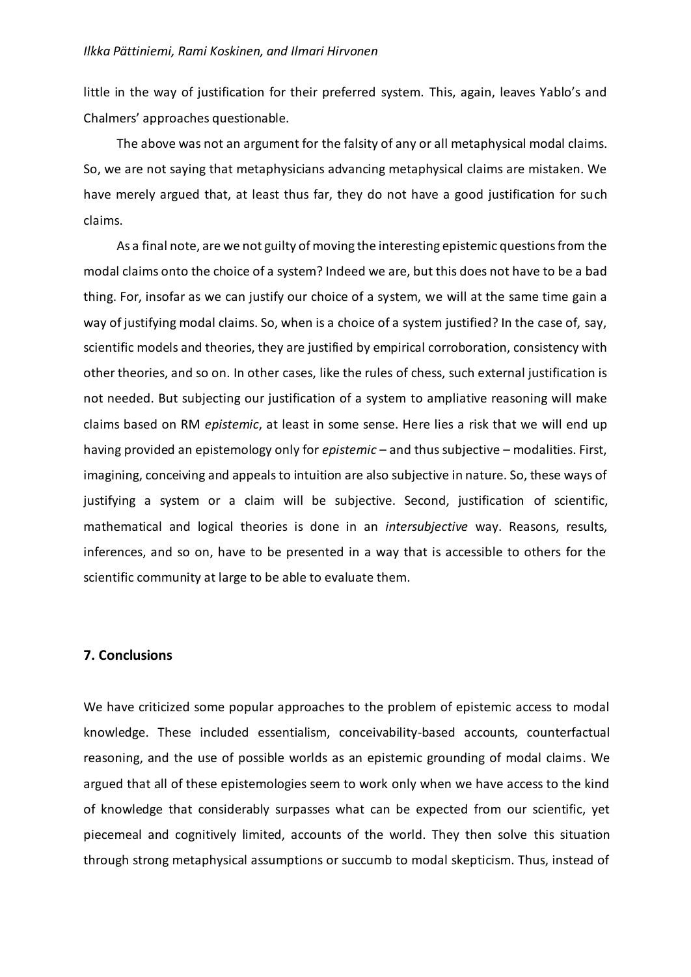little in the way of justification for their preferred system. This, again, leaves Yablo's and Chalmers' approaches questionable.

The above was not an argument for the falsity of any or all metaphysical modal claims. So, we are not saying that metaphysicians advancing metaphysical claims are mistaken. We have merely argued that, at least thus far, they do not have a good justification for such claims.

As a final note, are we not guilty of moving the interesting epistemic questions from the modal claims onto the choice of a system? Indeed we are, but this does not have to be a bad thing. For, insofar as we can justify our choice of a system, we will at the same time gain a way of justifying modal claims. So, when is a choice of a system justified? In the case of, say, scientific models and theories, they are justified by empirical corroboration, consistency with other theories, and so on. In other cases, like the rules of chess, such external justification is not needed. But subjecting our justification of a system to ampliative reasoning will make claims based on RM *epistemic*, at least in some sense. Here lies a risk that we will end up having provided an epistemology only for *epistemic* – and thus subjective – modalities. First, imagining, conceiving and appeals to intuition are also subjective in nature. So, these ways of justifying a system or a claim will be subjective. Second, justification of scientific, mathematical and logical theories is done in an *intersubjective* way. Reasons, results, inferences, and so on, have to be presented in a way that is accessible to others for the scientific community at large to be able to evaluate them.

## **7. Conclusions**

We have criticized some popular approaches to the problem of epistemic access to modal knowledge. These included essentialism, conceivability-based accounts, counterfactual reasoning, and the use of possible worlds as an epistemic grounding of modal claims. We argued that all of these epistemologies seem to work only when we have access to the kind of knowledge that considerably surpasses what can be expected from our scientific, yet piecemeal and cognitively limited, accounts of the world. They then solve this situation through strong metaphysical assumptions or succumb to modal skepticism. Thus, instead of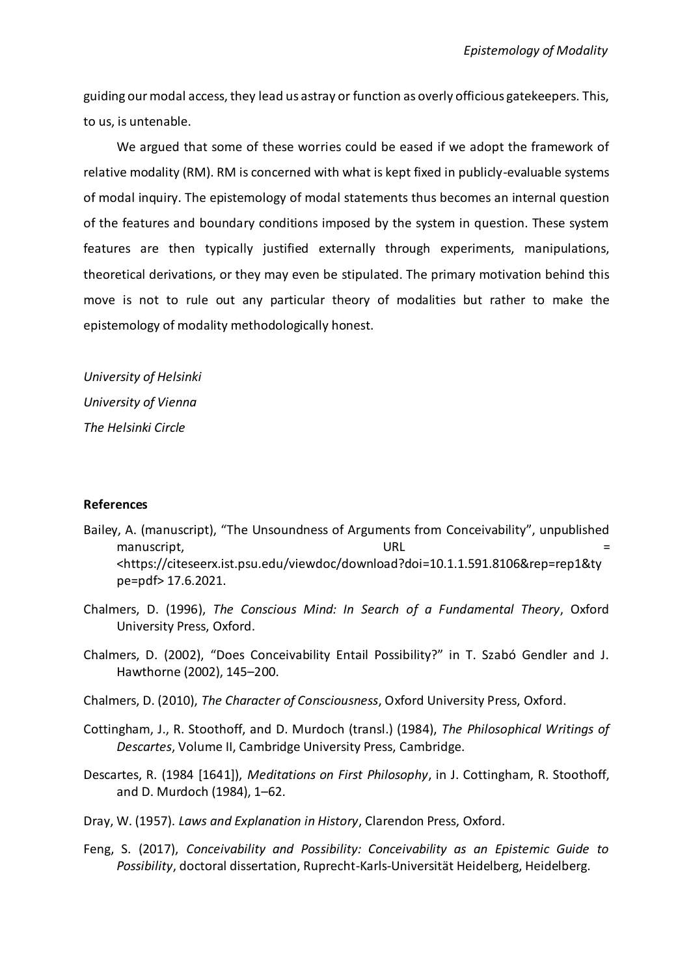guiding our modal access, they lead us astray or function as overly officious gatekeepers. This, to us, is untenable.

We argued that some of these worries could be eased if we adopt the framework of relative modality (RM). RM is concerned with what is kept fixed in publicly-evaluable systems of modal inquiry. The epistemology of modal statements thus becomes an internal question of the features and boundary conditions imposed by the system in question. These system features are then typically justified externally through experiments, manipulations, theoretical derivations, or they may even be stipulated. The primary motivation behind this move is not to rule out any particular theory of modalities but rather to make the epistemology of modality methodologically honest.

*University of Helsinki University of Vienna The Helsinki Circle*

## **References**

- Bailey, A. (manuscript), "The Unsoundness of Arguments from Conceivability", unpublished manuscript, URL = URL = URL = URL = URL = URL = URL = URL = URL = URL = URL = URL = URL = URL = URL = URL = URL = URL = URL = URL = URL = URL = URL = URL = URL = URL = URL = URL = URL = URL = URL = URL = URL = URL = URL = <https://citeseerx.ist.psu.edu/viewdoc/download?doi=10.1.1.591.8106&rep=rep1&ty pe=pdf> 17.6.2021.
- Chalmers, D. (1996), *The Conscious Mind: In Search of a Fundamental Theory*, Oxford University Press, Oxford.
- Chalmers, D. (2002), "Does Conceivability Entail Possibility?" in T. Szabó Gendler and J. Hawthorne (2002), 145–200.
- Chalmers, D. (2010), *The Character of Consciousness*, Oxford University Press, Oxford.
- Cottingham, J., R. Stoothoff, and D. Murdoch (transl.) (1984), *The Philosophical Writings of Descartes*, Volume II, Cambridge University Press, Cambridge.
- Descartes, R. (1984 [1641]), *Meditations on First Philosophy*, in J. Cottingham, R. Stoothoff, and D. Murdoch (1984), 1–62.
- Dray, W. (1957). *Laws and Explanation in History*, Clarendon Press, Oxford.
- Feng, S. (2017), *Conceivability and Possibility: Conceivability as an Epistemic Guide to Possibility*, doctoral dissertation, Ruprecht-Karls-Universität Heidelberg, Heidelberg.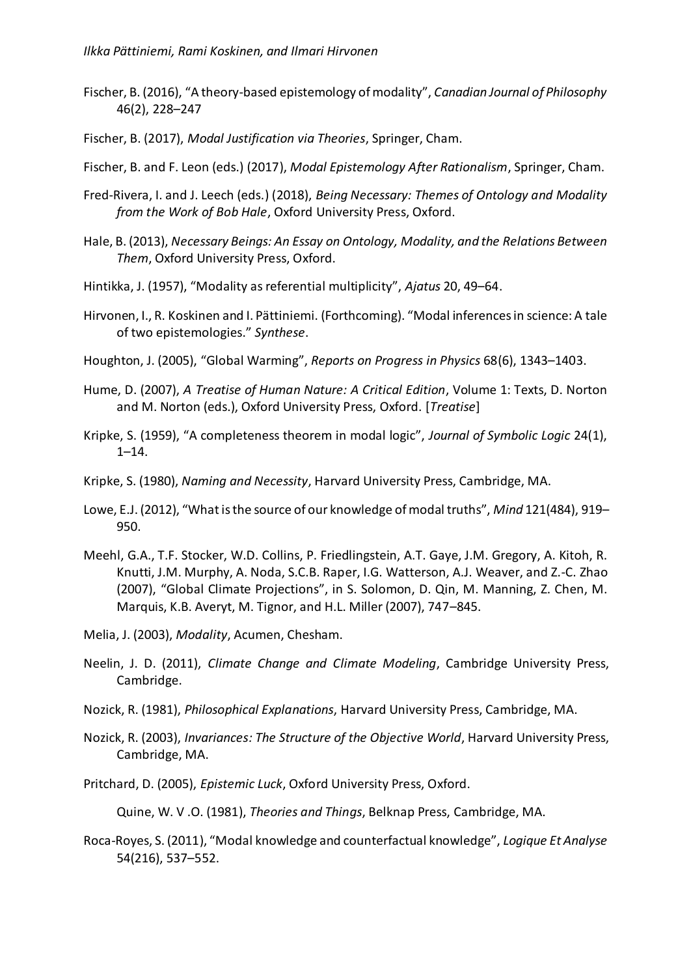- Fischer, B. (2016), "A theory-based epistemology of modality", *Canadian Journal of Philosophy* 46(2), 228–247
- Fischer, B. (2017), *Modal Justification via Theories*, Springer, Cham.
- Fischer, B. and F. Leon (eds.) (2017), *Modal Epistemology After Rationalism*, Springer, Cham.
- Fred-Rivera, I. and J. Leech (eds.) (2018), *Being Necessary: Themes of Ontology and Modality from the Work of Bob Hale*, Oxford University Press, Oxford.
- Hale, B. (2013), *Necessary Beings: An Essay on Ontology, Modality, and the Relations Between Them*, Oxford University Press, Oxford.
- Hintikka, J. (1957), "Modality as referential multiplicity", *Ajatus* 20, 49–64.
- Hirvonen, I., R. Koskinen and I. Pättiniemi. (Forthcoming). "Modal inferences in science: A tale of two epistemologies." *Synthese*.
- Houghton, J. (2005), "Global Warming", *Reports on Progress in Physics* 68(6), 1343–1403.
- Hume, D. (2007), *A Treatise of Human Nature: A Critical Edition*, Volume 1: Texts, D. Norton and M. Norton (eds.), Oxford University Press, Oxford. [*Treatise*]
- Kripke, S. (1959), "A completeness theorem in modal logic", *Journal of Symbolic Logic* 24(1), 1–14.
- Kripke, S. (1980), *Naming and Necessity*, Harvard University Press, Cambridge, MA.
- Lowe, E.J. (2012), "What is the source of our knowledge of modal truths", *Mind* 121(484), 919– 950.
- Meehl, G.A., T.F. Stocker, W.D. Collins, P. Friedlingstein, A.T. Gaye, J.M. Gregory, A. Kitoh, R. Knutti, J.M. Murphy, A. Noda, S.C.B. Raper, I.G. Watterson, A.J. Weaver, and Z.-C. Zhao (2007), "Global Climate Projections", in S. Solomon, D. Qin, M. Manning, Z. Chen, M. Marquis, K.B. Averyt, M. Tignor, and H.L. Miller (2007), 747–845.
- Melia, J. (2003), *Modality*, Acumen, Chesham.
- Neelin, J. D. (2011), *Climate Change and Climate Modeling*, Cambridge University Press, Cambridge.
- Nozick, R. (1981), *Philosophical Explanations*, Harvard University Press, Cambridge, MA.
- Nozick, R. (2003), *Invariances: The Structure of the Objective World*, Harvard University Press, Cambridge, MA.
- Pritchard, D. (2005), *Epistemic Luck*, Oxford University Press, Oxford.

Quine, W. V .O. (1981), *Theories and Things*, Belknap Press, Cambridge, MA.

Roca-Royes, S. (2011), "Modal knowledge and counterfactual knowledge", *Logique Et Analyse* 54(216), 537–552.